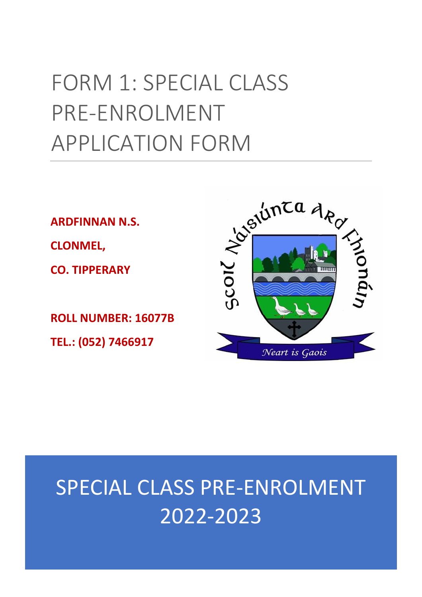# FORM 1: SPECIAL CLASS PRE-ENROLMENT APPLICATION FORM

**ARDFINNAN N.S. CLONMEL,** 

**CO. TIPPERARY**

**ROLL NUMBER: 16077B TEL.: (052) 7466917**

# Schunza degree Neart is Gaois

# SPECIAL CLASS PRE-ENROLMENT 2022-2023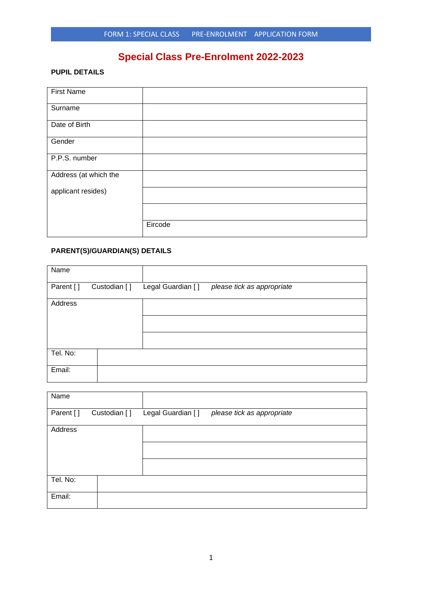# **Special Class Pre-Enrolment 2022-2023**

### **PUPIL DETAILS**

| <b>First Name</b>     |         |
|-----------------------|---------|
| Surname               |         |
| Date of Birth         |         |
| Gender                |         |
| P.P.S. number         |         |
| Address (at which the |         |
| applicant resides)    |         |
|                       |         |
|                       | Eircode |

## **PARENT(S)/GUARDIAN(S) DETAILS**

| Name      |              |                   |                            |  |
|-----------|--------------|-------------------|----------------------------|--|
| Parent [] | Custodian [] | Legal Guardian [] | please tick as appropriate |  |
| Address   |              |                   |                            |  |
|           |              |                   |                            |  |
|           |              |                   |                            |  |
| Tel. No:  |              |                   |                            |  |
| Email:    |              |                   |                            |  |

| Name      |              |                   |                            |
|-----------|--------------|-------------------|----------------------------|
| Parent [] | Custodian [] | Legal Guardian [] | please tick as appropriate |
| Address   |              |                   |                            |
|           |              |                   |                            |
|           |              |                   |                            |
| Tel. No:  |              |                   |                            |
| Email:    |              |                   |                            |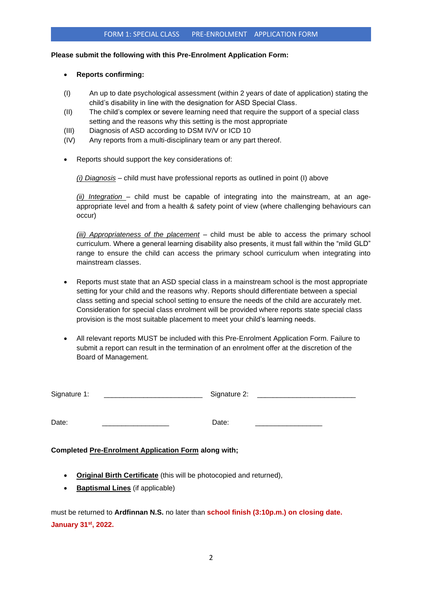#### **Please submit the following with this Pre-Enrolment Application Form:**

#### • **Reports confirming:**

- (I) An up to date psychological assessment (within 2 years of date of application) stating the child's disability in line with the designation for ASD Special Class.
- (II) The child's complex or severe learning need that require the support of a special class setting and the reasons why this setting is the most appropriate
- (III) Diagnosis of ASD according to DSM IV/V or ICD 10
- (IV) Any reports from a multi-disciplinary team or any part thereof.
- Reports should support the key considerations of:

*(i) Diagnosis* – child must have professional reports as outlined in point (I) above

*(ii) Integration* – child must be capable of integrating into the mainstream, at an ageappropriate level and from a health & safety point of view (where challenging behaviours can occur)

*(iii) Appropriateness of the placement* – child must be able to access the primary school curriculum. Where a general learning disability also presents, it must fall within the "mild GLD" range to ensure the child can access the primary school curriculum when integrating into mainstream classes.

- Reports must state that an ASD special class in a mainstream school is the most appropriate setting for your child and the reasons why. Reports should differentiate between a special class setting and special school setting to ensure the needs of the child are accurately met. Consideration for special class enrolment will be provided where reports state special class provision is the most suitable placement to meet your child's learning needs.
- All relevant reports MUST be included with this Pre-Enrolment Application Form. Failure to submit a report can result in the termination of an enrolment offer at the discretion of the Board of Management.

| Signature | או |  |
|-----------|----|--|
|           |    |  |

| Date:<br>. |
|------------|
|------------|

#### **Completed Pre-Enrolment Application Form along with;**

- **Original Birth Certificate** (this will be photocopied and returned),
- **Baptismal Lines** (if applicable)

must be returned to **Ardfinnan N.S.** no later than **school finish (3:10p.m.) on closing date. January 31st, 2022.**